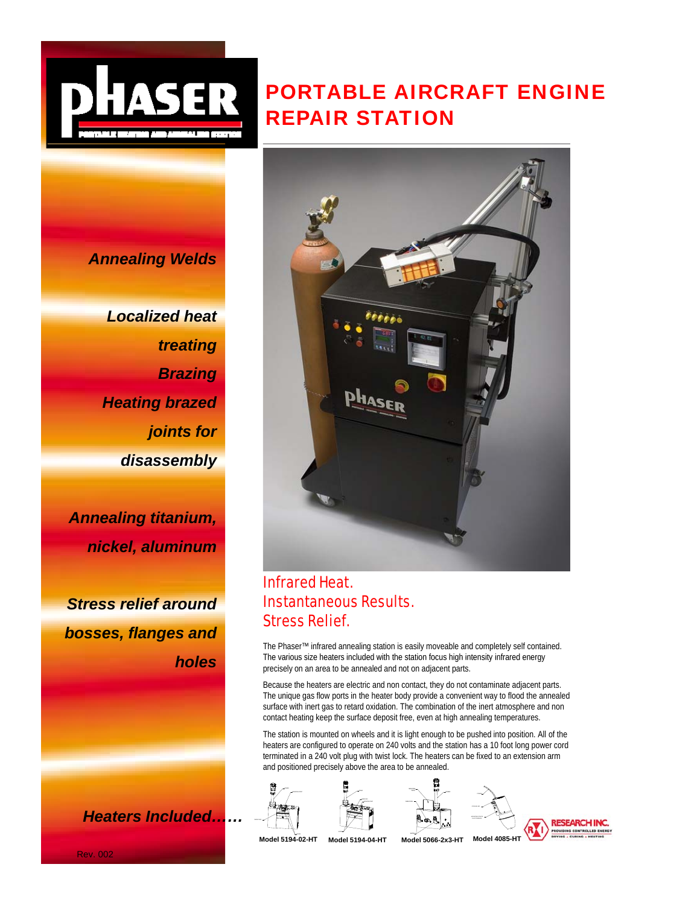

# PORTABLE AIRCRAFT ENGINE REPAIR STATION

*Annealing Welds*

*Localized heat treating Brazing Heating brazed joints for disassembly* 

*Annealing titanium, nickel, aluminum*

*Stress relief around bosses, flanges and holes*

*Heaters Included……*



# Infrared Heat. Instantaneous Results. Stress Relief.

The Phaser™ infrared annealing station is easily moveable and completely self contained. The various size heaters included with the station focus high intensity infrared energy *h l* precisely on an area to be annealed and not on adjacent parts.

Because the heaters are electric and non contact, they do not contaminate adjacent parts. The unique gas flow ports in the heater body provide a convenient way to flood the annealed surface with inert gas to retard oxidation. The combination of the inert atmosphere and non contact heating keep the surface deposit free, even at high annealing temperatures.

The station is mounted on wheels and it is light enough to be pushed into position. All of the heaters are configured to operate on 240 volts and the station has a 10 foot long power cord terminated in a 240 volt plug with twist lock. The heaters can be fixed to an extension arm and positioned precisely above the area to be annealed.









Model 5194-02-HT

WATER **Model 5194-02-HT Model 5194-04-HT Model 5066-2x3-HT Model 4085-HT**

Rev. 002